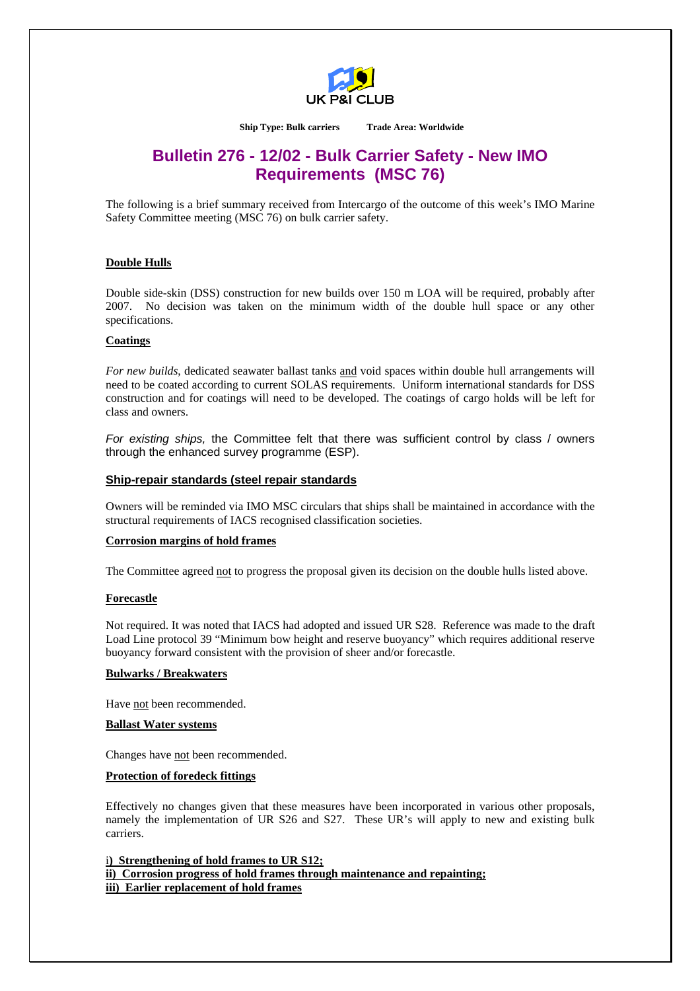

**Ship Type: Bulk carriers Trade Area: Worldwide** 

# **Bulletin 276 - 12/02 - Bulk Carrier Safety - New IMO Requirements (MSC 76)**

The following is a brief summary received from Intercargo of the outcome of this week's IMO Marine Safety Committee meeting (MSC 76) on bulk carrier safety.

# **Double Hulls**

Double side-skin (DSS) construction for new builds over 150 m LOA will be required, probably after 2007. No decision was taken on the minimum width of the double hull space or any other specifications.

# **Coatings**

*For new builds*, dedicated seawater ballast tanks and void spaces within double hull arrangements will need to be coated according to current SOLAS requirements. Uniform international standards for DSS construction and for coatings will need to be developed. The coatings of cargo holds will be left for class and owners.

*For existing ships,* the Committee felt that there was sufficient control by class / owners through the enhanced survey programme (ESP).

# **Ship-repair standards (steel repair standards**

Owners will be reminded via IMO MSC circulars that ships shall be maintained in accordance with the structural requirements of IACS recognised classification societies.

#### **Corrosion margins of hold frames**

The Committee agreed not to progress the proposal given its decision on the double hulls listed above.

#### **Forecastle**

Not required. It was noted that IACS had adopted and issued UR S28. Reference was made to the draft Load Line protocol 39 "Minimum bow height and reserve buoyancy" which requires additional reserve buoyancy forward consistent with the provision of sheer and/or forecastle.

#### **Bulwarks / Breakwaters**

Have not been recommended.

#### **Ballast Water systems**

Changes have not been recommended.

#### **Protection of foredeck fittings**

Effectively no changes given that these measures have been incorporated in various other proposals, namely the implementation of UR S26 and S27. These UR's will apply to new and existing bulk carriers.

i**) Strengthening of hold frames to UR S12; ii) Corrosion progress of hold frames through maintenance and repainting; iii) Earlier replacement of hold frames**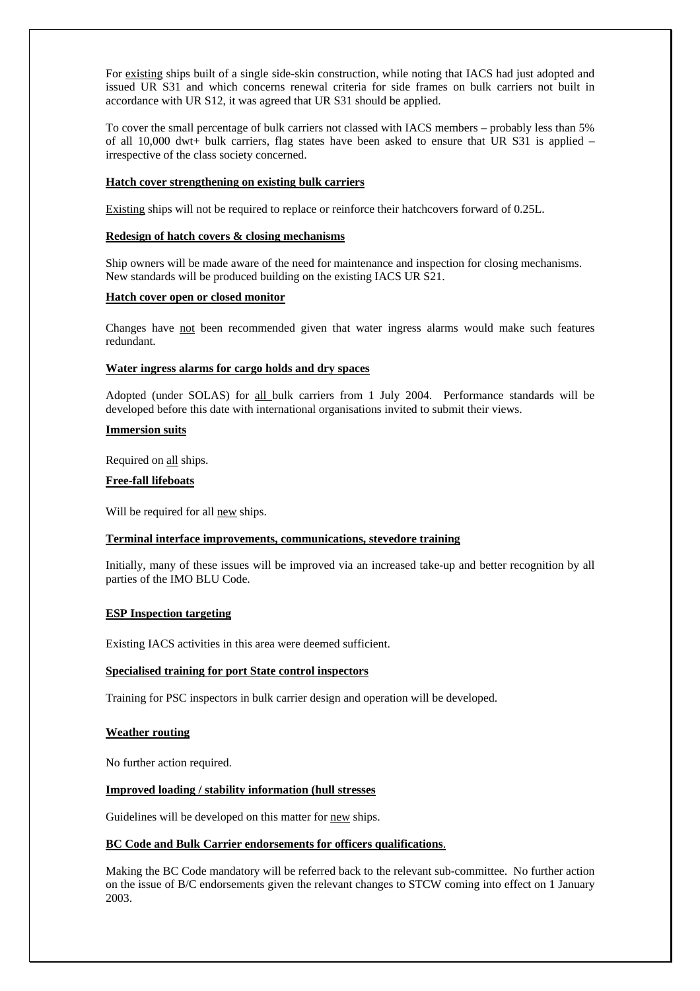For existing ships built of a single side-skin construction, while noting that IACS had just adopted and issued UR S31 and which concerns renewal criteria for side frames on bulk carriers not built in accordance with UR S12, it was agreed that UR S31 should be applied.

To cover the small percentage of bulk carriers not classed with IACS members – probably less than 5% of all 10,000 dwt+ bulk carriers, flag states have been asked to ensure that UR S31 is applied – irrespective of the class society concerned.

# **Hatch cover strengthening on existing bulk carriers**

Existing ships will not be required to replace or reinforce their hatchcovers forward of 0.25L.

# **Redesign of hatch covers & closing mechanisms**

Ship owners will be made aware of the need for maintenance and inspection for closing mechanisms. New standards will be produced building on the existing IACS UR S21.

#### **Hatch cover open or closed monitor**

Changes have not been recommended given that water ingress alarms would make such features redundant.

# **Water ingress alarms for cargo holds and dry spaces**

Adopted (under SOLAS) for all bulk carriers from 1 July 2004. Performance standards will be developed before this date with international organisations invited to submit their views.

## **Immersion suits**

Required on all ships.

# **Free-fall lifeboats**

Will be required for all new ships.

### **Terminal interface improvements, communications, stevedore training**

Initially, many of these issues will be improved via an increased take-up and better recognition by all parties of the IMO BLU Code.

#### **ESP Inspection targeting**

Existing IACS activities in this area were deemed sufficient.

#### **Specialised training for port State control inspectors**

Training for PSC inspectors in bulk carrier design and operation will be developed.

#### **Weather routing**

No further action required.

## **Improved loading / stability information (hull stresses**

Guidelines will be developed on this matter for new ships.

#### **BC Code and Bulk Carrier endorsements for officers qualifications**.

Making the BC Code mandatory will be referred back to the relevant sub-committee. No further action on the issue of B/C endorsements given the relevant changes to STCW coming into effect on 1 January 2003.